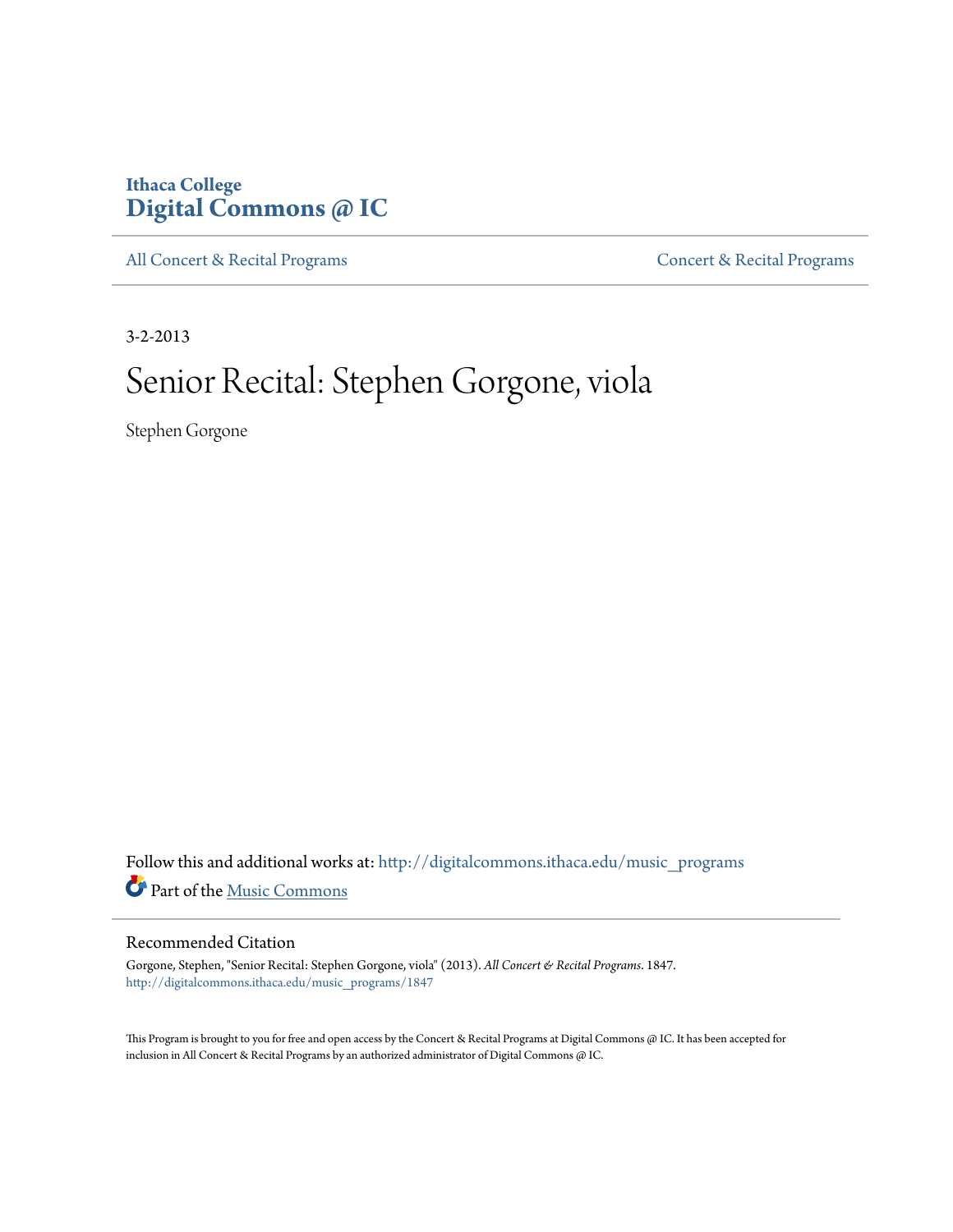## **Ithaca College [Digital Commons @ IC](http://digitalcommons.ithaca.edu?utm_source=digitalcommons.ithaca.edu%2Fmusic_programs%2F1847&utm_medium=PDF&utm_campaign=PDFCoverPages)**

[All Concert & Recital Programs](http://digitalcommons.ithaca.edu/music_programs?utm_source=digitalcommons.ithaca.edu%2Fmusic_programs%2F1847&utm_medium=PDF&utm_campaign=PDFCoverPages) **[Concert & Recital Programs](http://digitalcommons.ithaca.edu/som_programs?utm_source=digitalcommons.ithaca.edu%2Fmusic_programs%2F1847&utm_medium=PDF&utm_campaign=PDFCoverPages)** 

3-2-2013

# Senior Recital: Stephen Gorgone, viola

Stephen Gorgone

Follow this and additional works at: [http://digitalcommons.ithaca.edu/music\\_programs](http://digitalcommons.ithaca.edu/music_programs?utm_source=digitalcommons.ithaca.edu%2Fmusic_programs%2F1847&utm_medium=PDF&utm_campaign=PDFCoverPages) Part of the [Music Commons](http://network.bepress.com/hgg/discipline/518?utm_source=digitalcommons.ithaca.edu%2Fmusic_programs%2F1847&utm_medium=PDF&utm_campaign=PDFCoverPages)

#### Recommended Citation

Gorgone, Stephen, "Senior Recital: Stephen Gorgone, viola" (2013). *All Concert & Recital Programs*. 1847. [http://digitalcommons.ithaca.edu/music\\_programs/1847](http://digitalcommons.ithaca.edu/music_programs/1847?utm_source=digitalcommons.ithaca.edu%2Fmusic_programs%2F1847&utm_medium=PDF&utm_campaign=PDFCoverPages)

This Program is brought to you for free and open access by the Concert & Recital Programs at Digital Commons @ IC. It has been accepted for inclusion in All Concert & Recital Programs by an authorized administrator of Digital Commons @ IC.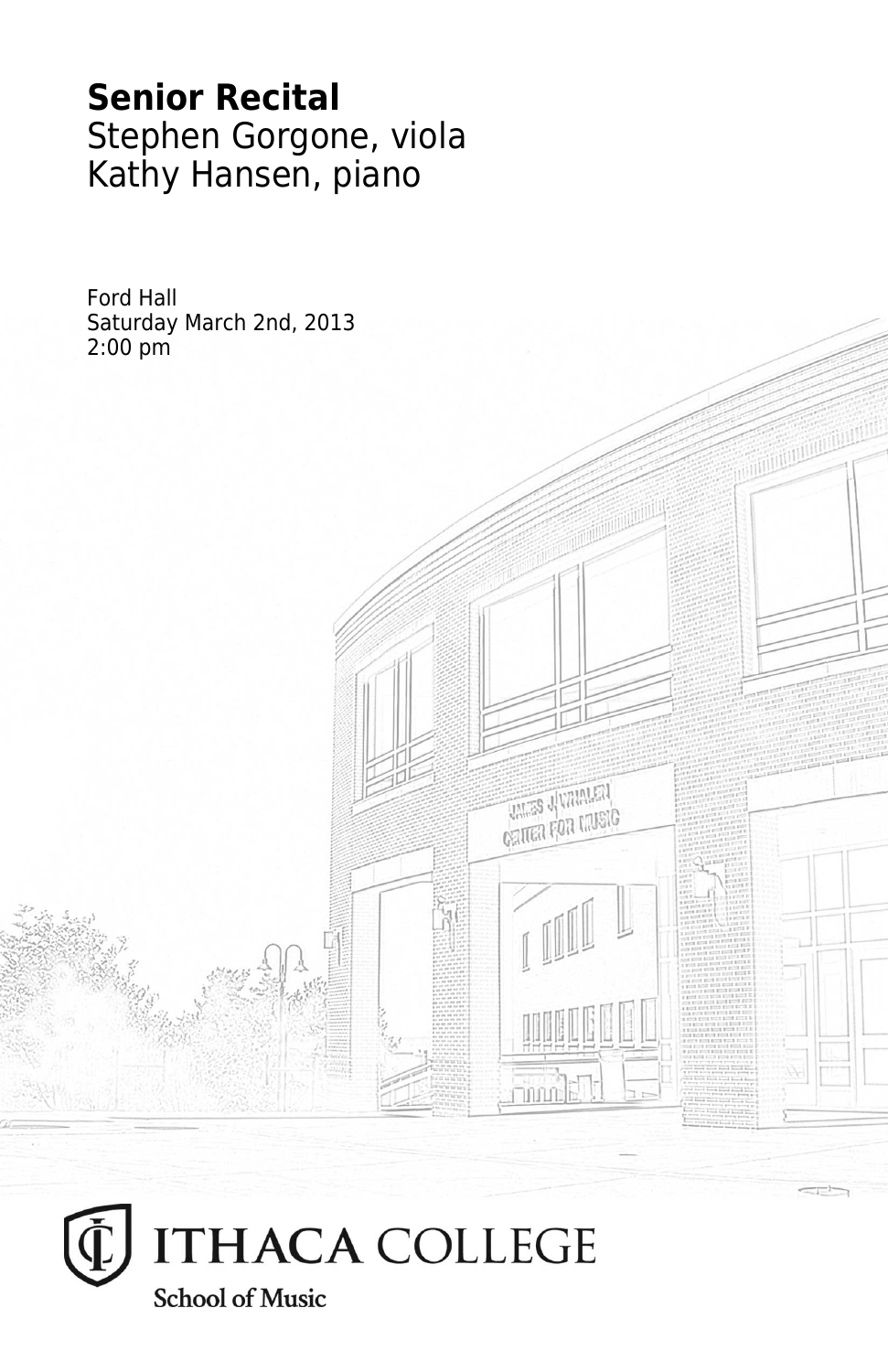# **Senior Recital** Stephen Gorgone, viola Kathy Hansen, piano

**THES JUVANIEN CRITER FOR MUSIC** 

mmale<sub>r</sub>

Ford Hall Saturday March 2nd, 2013 2:00 pm